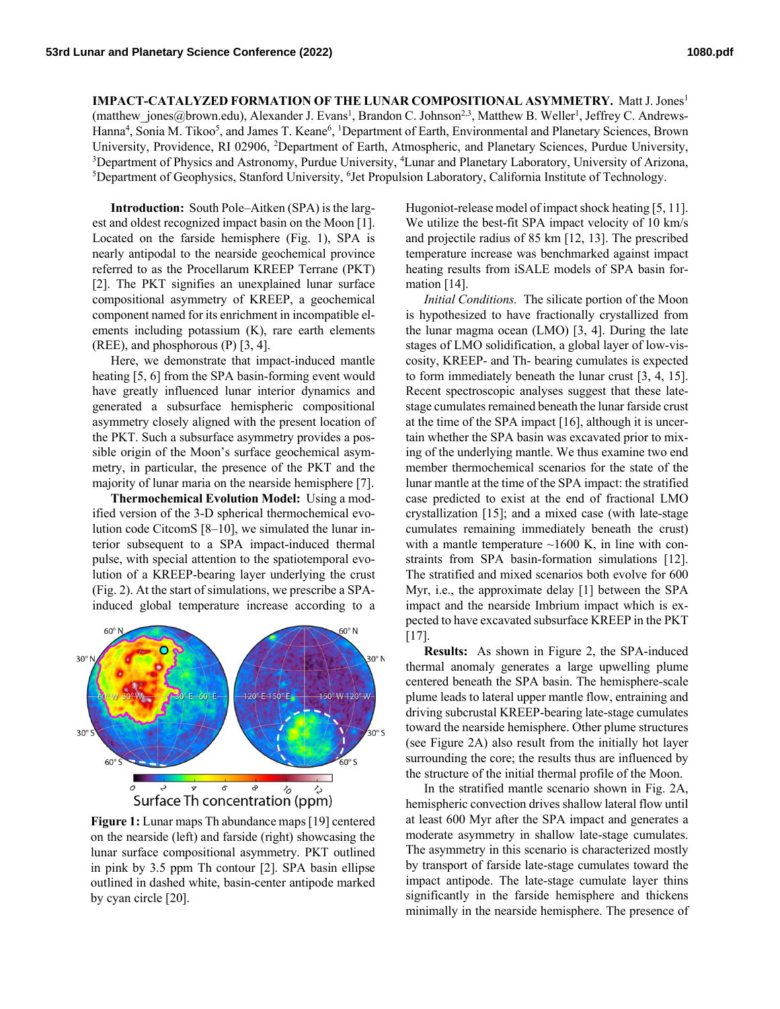**IMPACT-CATALYZED FORMATION OF THE LUNAR COMPOSITIONAL ASYMMETRY.** Matt J. Jones<sup>1</sup> (matthew\_jones@brown.edu), Alexander J. Evans<sup>1</sup>, Brandon C. Johnson<sup>2,3</sup>, Matthew B. Weller<sup>1</sup>, Jeffrey C. Andrews-Hanna<sup>4</sup>, Sonia M. Tikoo<sup>5</sup>, and James T. Keane<sup>6</sup>, <sup>1</sup>Department of Earth, Environmental and Planetary Sciences, Brown University, Providence, RI 02906, <sup>2</sup>Department of Earth, Atmospheric, and Planetary Sciences, Purdue University, <sup>3</sup>Department of Physics and Astronomy, Purdue University, <sup>4</sup>Lunar and Planetary Laboratory, University of Arizona,  $5$ Department of Geophysics, Stanford University,  $\frac{6}{1}$  Propulsion I aboratory, California Institute Department of Geophysics, Stanford University, <sup>6</sup>Jet Propulsion Laboratory, California Institute of Technology.

**Introduction:** South Pole–Aitken (SPA) is the largest and oldest recognized impact basin on the Moon [1]. Located on the farside hemisphere (Fig. 1), SPA is nearly antipodal to the nearside geochemical province referred to as the Procellarum KREEP Terrane (PKT) [2]. The PKT signifies an unexplained lunar surface compositional asymmetry of KREEP, a geochemical component named for its enrichment in incompatible elements including potassium (K), rare earth elements (REE), and phosphorous (P) [3, 4].

Here, we demonstrate that impact-induced mantle heating [5, 6] from the SPA basin-forming event would have greatly influenced lunar interior dynamics and generated a subsurface hemispheric compositional asymmetry closely aligned with the present location of the PKT. Such a subsurface asymmetry provides a possible origin of the Moon's surface geochemical asymmetry, in particular, the presence of the PKT and the majority of lunar maria on the nearside hemisphere [7].

**Thermochemical Evolution Model:** Using a modified version of the 3-D spherical thermochemical evolution code CitcomS [8–10], we simulated the lunar interior subsequent to a SPA impact-induced thermal pulse, with special attention to the spatiotemporal evolution of a KREEP-bearing layer underlying the crust (Fig. 2). At the start of simulations, we prescribe a SPAinduced global temperature increase according to a



**Figure 1:** Lunar maps Th abundance maps [19] centered on the nearside (left) and farside (right) showcasing the lunar surface compositional asymmetry. PKT outlined in pink by 3.5 ppm Th contour [2]. SPA basin ellipse outlined in dashed white, basin-center antipode marked by cyan circle [20].

Hugoniot-release model of impact shock heating [5, 11]. We utilize the best-fit SPA impact velocity of 10 km/s and projectile radius of 85 km [12, 13]. The prescribed temperature increase was benchmarked against impact heating results from iSALE models of SPA basin formation [14].

*Initial Conditions.* The silicate portion of the Moon is hypothesized to have fractionally crystallized from the lunar magma ocean (LMO) [3, 4]. During the late stages of LMO solidification, a global layer of low-viscosity, KREEP- and Th- bearing cumulates is expected to form immediately beneath the lunar crust [3, 4, 15]. Recent spectroscopic analyses suggest that these latestage cumulates remained beneath the lunar farside crust at the time of the SPA impact [16], although it is uncertain whether the SPA basin was excavated prior to mixing of the underlying mantle. We thus examine two end member thermochemical scenarios for the state of the lunar mantle at the time of the SPA impact: the stratified case predicted to exist at the end of fractional LMO crystallization [15]; and a mixed case (with late-stage cumulates remaining immediately beneath the crust) with a mantle temperature  $\sim$ 1600 K, in line with constraints from SPA basin-formation simulations [12]. The stratified and mixed scenarios both evolve for 600 Myr, i.e., the approximate delay [1] between the SPA impact and the nearside Imbrium impact which is expected to have excavated subsurface KREEP in the PKT [17].

**Results:** As shown in Figure 2, the SPA-induced thermal anomaly generates a large upwelling plume centered beneath the SPA basin. The hemisphere-scale plume leads to lateral upper mantle flow, entraining and driving subcrustal KREEP-bearing late-stage cumulates toward the nearside hemisphere. Other plume structures (see Figure 2A) also result from the initially hot layer surrounding the core; the results thus are influenced by the structure of the initial thermal profile of the Moon.

In the stratified mantle scenario shown in Fig. 2A, hemispheric convection drives shallow lateral flow until at least 600 Myr after the SPA impact and generates a moderate asymmetry in shallow late-stage cumulates. The asymmetry in this scenario is characterized mostly by transport of farside late-stage cumulates toward the impact antipode. The late-stage cumulate layer thins significantly in the farside hemisphere and thickens minimally in the nearside hemisphere. The presence of